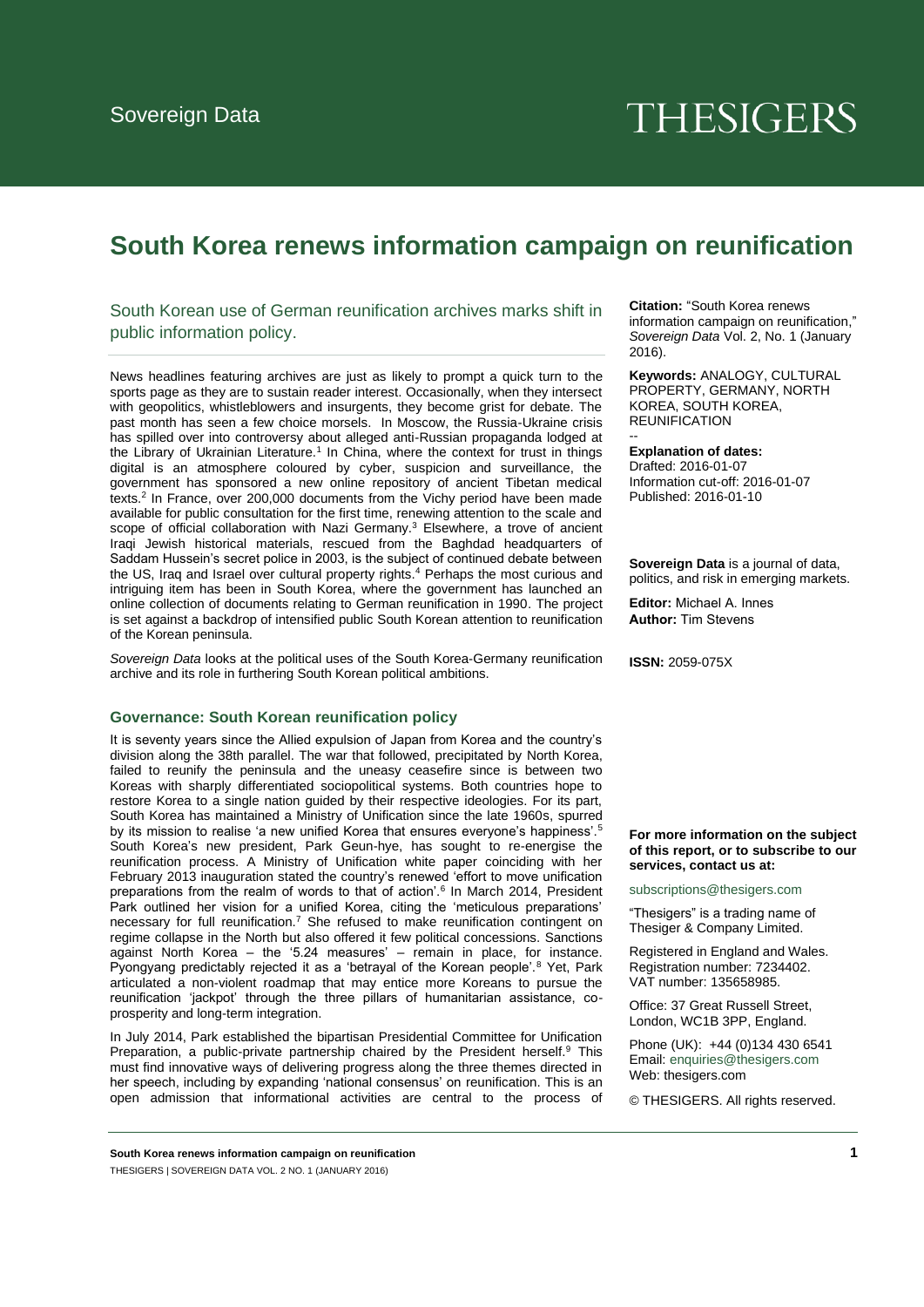# **THESIGERS**

# **South Korea renews information campaign on reunification**

# South Korean use of German reunification archives marks shift in public information policy.

News headlines featuring archives are just as likely to prompt a quick turn to the sports page as they are to sustain reader interest. Occasionally, when they intersect with geopolitics, whistleblowers and insurgents, they become grist for debate. The past month has seen a few choice morsels. In Moscow, the Russia-Ukraine crisis has spilled over into controversy about alleged anti-Russian propaganda lodged at the Library of Ukrainian Literature.<sup>1</sup> In China, where the context for trust in things digital is an atmosphere coloured by cyber, suspicion and surveillance, the government has sponsored a new online repository of ancient Tibetan medical texts.<sup>2</sup> In France, over 200,000 documents from the Vichy period have been made available for public consultation for the first time, renewing attention to the scale and scope of official collaboration with Nazi Germany.<sup>3</sup> Elsewhere, a trove of ancient Iraqi Jewish historical materials, rescued from the Baghdad headquarters of Saddam Hussein's secret police in 2003, is the subject of continued debate between the US, Iraq and Israel over cultural property rights.<sup>4</sup> Perhaps the most curious and intriguing item has been in South Korea, where the government has launched an online collection of documents relating to German reunification in 1990. The project is set against a backdrop of intensified public South Korean attention to reunification of the Korean peninsula.

*Sovereign Data* looks at the political uses of the South Korea-Germany reunification archive and its role in furthering South Korean political ambitions.

### **Governance: South Korean reunification policy**

It is seventy years since the Allied expulsion of Japan from Korea and the country's division along the 38th parallel. The war that followed, precipitated by North Korea, failed to reunify the peninsula and the uneasy ceasefire since is between two Koreas with sharply differentiated sociopolitical systems. Both countries hope to restore Korea to a single nation guided by their respective ideologies. For its part, South Korea has maintained a Ministry of Unification since the late 1960s, spurred by its mission to realise 'a new unified Korea that ensures everyone's happiness'.<sup>5</sup> South Korea's new president, Park Geun-hye, has sought to re-energise the reunification process. A Ministry of Unification white paper coinciding with her February 2013 inauguration stated the country's renewed 'effort to move unification preparations from the realm of words to that of action'.<sup>6</sup> In March 2014, President Park outlined her vision for a unified Korea, citing the 'meticulous preparations' necessary for full reunification.<sup>7</sup> She refused to make reunification contingent on regime collapse in the North but also offered it few political concessions. Sanctions against North Korea – the '5.24 measures' – remain in place, for instance. Pyongyang predictably rejected it as a 'betrayal of the Korean people'.<sup>8</sup> Yet, Park articulated a non-violent roadmap that may entice more Koreans to pursue the reunification 'jackpot' through the three pillars of humanitarian assistance, coprosperity and long-term integration.

In July 2014, Park established the bipartisan Presidential Committee for Unification Preparation, a public-private partnership chaired by the President herself.<sup>9</sup> This must find innovative ways of delivering progress along the three themes directed in her speech, including by expanding 'national consensus' on reunification. This is an open admission that informational activities are central to the process of **Citation:** "South Korea renews information campaign on reunification," *Sovereign Data* Vol. 2, No. 1 (January 2016).

**Keywords:** ANALOGY, CULTURAL PROPERTY, GERMANY, NORTH KOREA, SOUTH KOREA, REUNIFICATION

**Explanation of dates:** 

--

Drafted: 2016-01-07 Information cut-off: 2016-01-07 Published: 2016-01-10

**Sovereign Data** is a journal of data, politics, and risk in emerging markets.

**Editor:** Michael A. Innes **Author:** Tim Stevens

**ISSN:** 2059-075X

#### **For more information on the subject of this report, or to subscribe to our services, contact us at:**

subscriptions@thesigers.com

"Thesigers" is a trading name of Thesiger & Company Limited.

Registered in England and Wales. Regis[tration number: 7234402.](mailto:enquiries@thesigers.com)  VAT number: 135658985.

Office: 37 Great Russell Street, London, WC1B 3PP, England.

Phone (UK): +44 (0)134 430 6541 Email: enquiries@thesigers.com Web: thesigers.com

© THESIGERS. All rights reserved.

**South Korea renews information campaign on reunification 1** THESIGERS | SOVEREIGN DATA VOL. 2 NO. 1 (JANUARY 2016)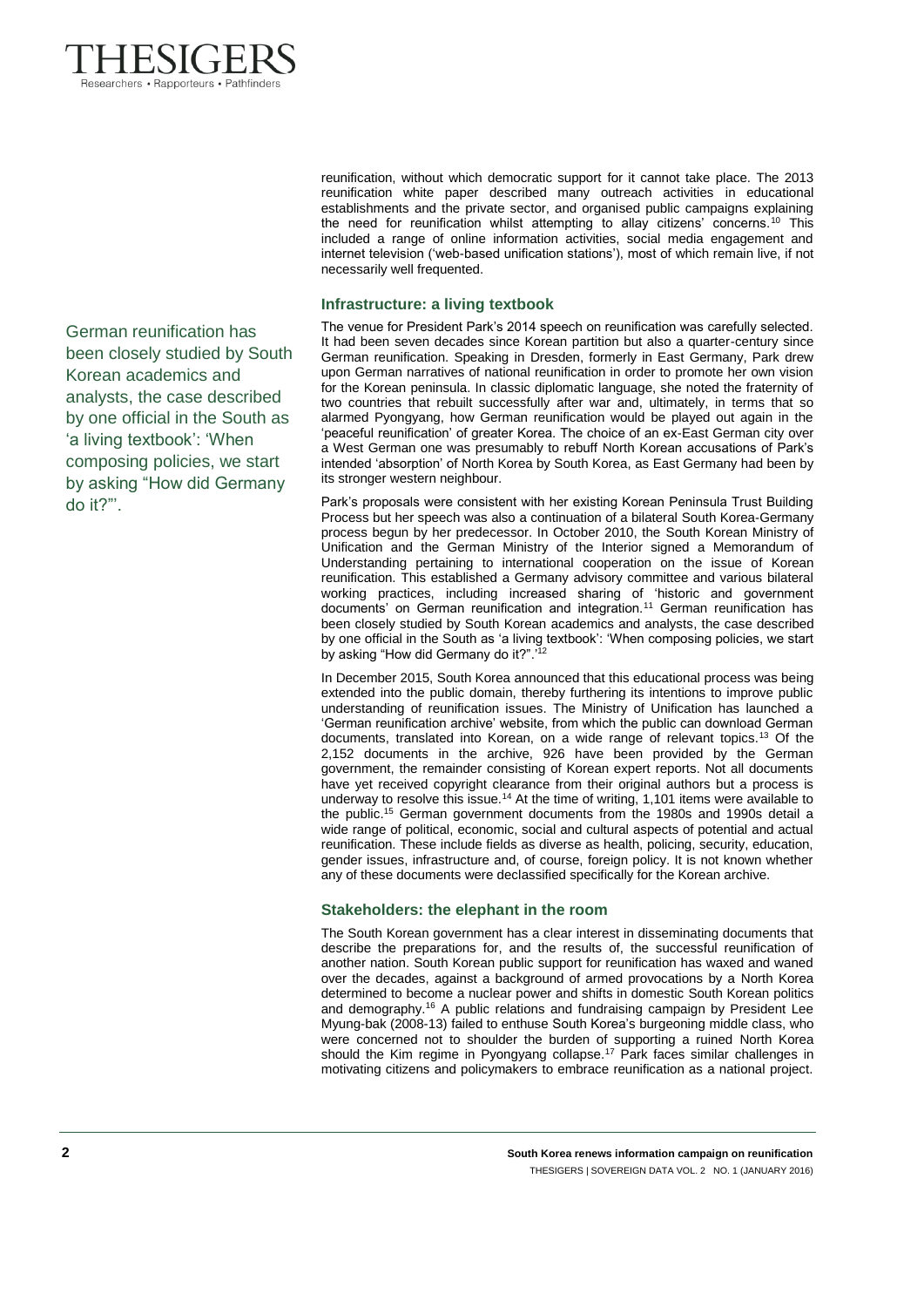

reunification, without which democratic support for it cannot take place. The 2013 reunification white paper described many outreach activities in educational establishments and the private sector, and organised public campaigns explaining the need for reunification whilst attempting to allay citizens' concerns.<sup>10</sup> This included a range of online information activities, social media engagement and internet television ('web-based unification stations'), most of which remain live, if not necessarily well frequented.

## **Infrastructure: a living textbook**

The venue for President Park's 2014 speech on reunification was carefully selected. It had been seven decades since Korean partition but also a quarter-century since German reunification. Speaking in Dresden, formerly in East Germany, Park drew upon German narratives of national reunification in order to promote her own vision for the Korean peninsula. In classic diplomatic language, she noted the fraternity of two countries that rebuilt successfully after war and, ultimately, in terms that so alarmed Pyongyang, how German reunification would be played out again in the 'peaceful reunification' of greater Korea. The choice of an ex-East German city over a West German one was presumably to rebuff North Korean accusations of Park's intended 'absorption' of North Korea by South Korea, as East Germany had been by its stronger western neighbour.

Park's proposals were consistent with her existing Korean Peninsula Trust Building Process but her speech was also a continuation of a bilateral South Korea-Germany process begun by her predecessor. In October 2010, the South Korean Ministry of Unification and the German Ministry of the Interior signed a Memorandum of Understanding pertaining to international cooperation on the issue of Korean reunification. This established a Germany advisory committee and various bilateral working practices, including increased sharing of 'historic and government documents' on German reunification and integration.<sup>11</sup> German reunification has been closely studied by South Korean academics and analysts, the case described by one official in the South as 'a living textbook': 'When composing policies, we start by asking "How did Germany do it?".<sup>'12</sup>

In December 2015, South Korea announced that this educational process was being extended into the public domain, thereby furthering its intentions to improve public understanding of reunification issues. The Ministry of Unification has launched a 'German reunification archive' website, from which the public can download German documents, translated into Korean, on a wide range of relevant topics.<sup>13</sup> Of the 2,152 documents in the archive, 926 have been provided by the German government, the remainder consisting of Korean expert reports. Not all documents have yet received copyright clearance from their original authors but a process is underway to resolve this issue.<sup>14</sup> At the time of writing, 1,101 items were available to the public.<sup>15</sup> German government documents from the 1980s and 1990s detail a wide range of political, economic, social and cultural aspects of potential and actual reunification. These include fields as diverse as health, policing, security, education, gender issues, infrastructure and, of course, foreign policy. It is not known whether any of these documents were declassified specifically for the Korean archive.

# **Stakeholders: the elephant in the room**

The South Korean government has a clear interest in disseminating documents that describe the preparations for, and the results of, the successful reunification of another nation. South Korean public support for reunification has waxed and waned over the decades, against a background of armed provocations by a North Korea determined to become a nuclear power and shifts in domestic South Korean politics and demography.<sup>16</sup> A public relations and fundraising campaign by President Lee Myung-bak (2008-13) failed to enthuse South Korea's burgeoning middle class, who were concerned not to shoulder the burden of supporting a ruined North Korea should the Kim regime in Pyongyang collapse.<sup>17</sup> Park faces similar challenges in motivating citizens and policymakers to embrace reunification as a national project.

German reunification has been closely studied by South Korean academics and analysts, the case described by one official in the South as 'a living textbook': 'When composing policies, we start by asking "How did Germany do it?"'.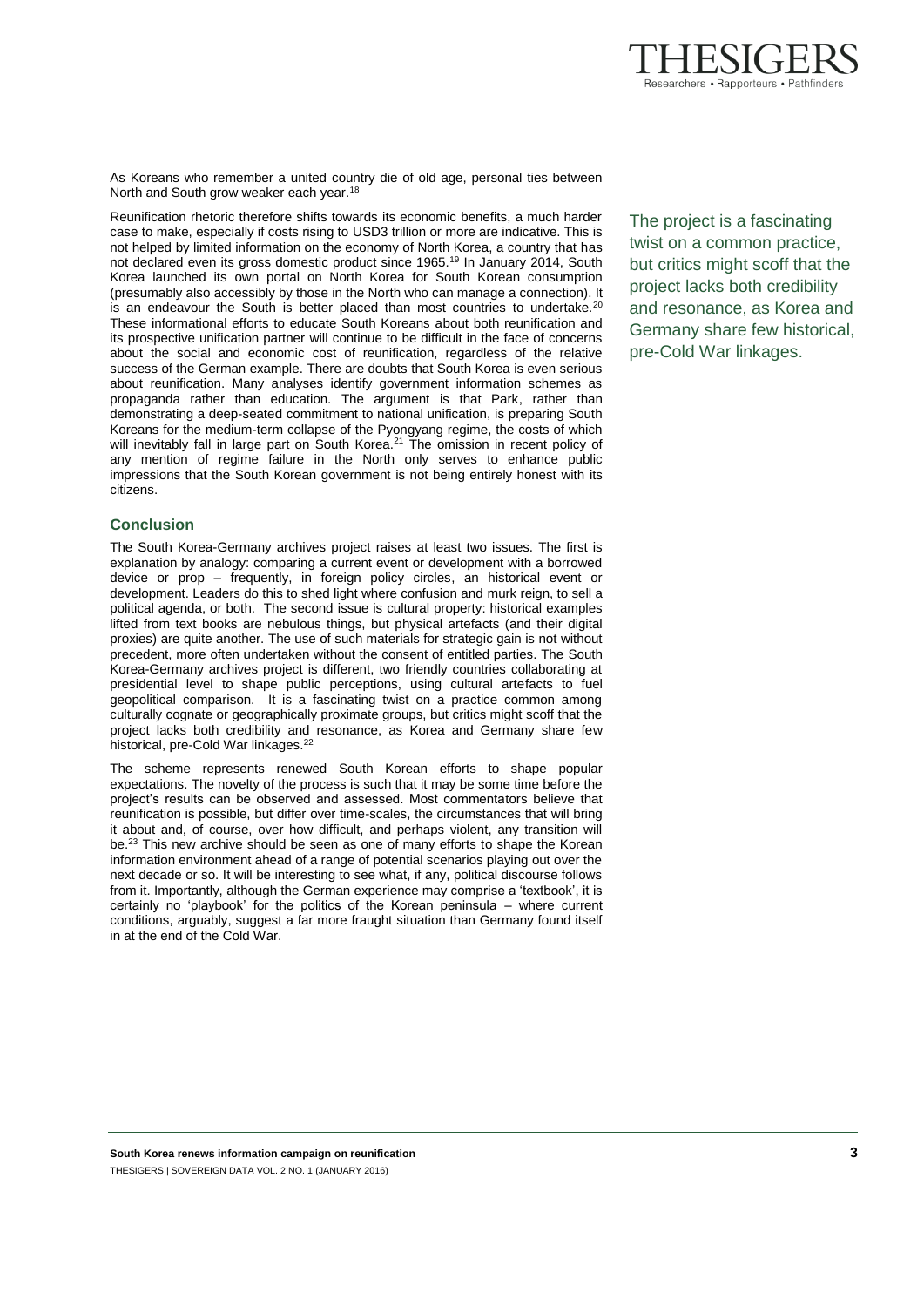

As Koreans who remember a united country die of old age, personal ties between North and South grow weaker each year.<sup>18</sup>

Reunification rhetoric therefore shifts towards its economic benefits, a much harder case to make, especially if costs rising to USD3 trillion or more are indicative. This is not helped by limited information on the economy of North Korea, a country that has not declared even its gross domestic product since 1965.<sup>19</sup> In January 2014, South Korea launched its own portal on North Korea for South Korean consumption (presumably also accessibly by those in the North who can manage a connection). It is an endeavour the South is better placed than most countries to undertake.<sup>20</sup> These informational efforts to educate South Koreans about both reunification and its prospective unification partner will continue to be difficult in the face of concerns about the social and economic cost of reunification, regardless of the relative success of the German example. There are doubts that South Korea is even serious about reunification. Many analyses identify government information schemes as propaganda rather than education. The argument is that Park, rather than demonstrating a deep-seated commitment to national unification, is preparing South Koreans for the medium-term collapse of the Pyongyang regime, the costs of which will inevitably fall in large part on South Korea.<sup>21</sup> The omission in recent policy of any mention of regime failure in the North only serves to enhance public impressions that the South Korean government is not being entirely honest with its citizens.

# **Conclusion**

The South Korea-Germany archives project raises at least two issues. The first is explanation by analogy: comparing a current event or development with a borrowed device or prop – frequently, in foreign policy circles, an historical event or development. Leaders do this to shed light where confusion and murk reign, to sell a political agenda, or both. The second issue is cultural property: historical examples lifted from text books are nebulous things, but physical artefacts (and their digital proxies) are quite another. The use of such materials for strategic gain is not without precedent, more often undertaken without the consent of entitled parties. The South Korea-Germany archives project is different, two friendly countries collaborating at presidential level to shape public perceptions, using cultural artefacts to fuel geopolitical comparison. It is a fascinating twist on a practice common among culturally cognate or geographically proximate groups, but critics might scoff that the project lacks both credibility and resonance, as Korea and Germany share few historical, pre-Cold War linkages.<sup>22</sup>

The scheme represents renewed South Korean efforts to shape popular expectations. The novelty of the process is such that it may be some time before the project's results can be observed and assessed. Most commentators believe that reunification is possible, but differ over time-scales, the circumstances that will bring it about and, of course, over how difficult, and perhaps violent, any transition will be.<sup>23</sup> This new archive should be seen as one of many efforts to shape the Korean information environment ahead of a range of potential scenarios playing out over the next decade or so. It will be interesting to see what, if any, political discourse follows from it. Importantly, although the German experience may comprise a 'textbook', it is certainly no 'playbook' for the politics of the Korean peninsula – where current conditions, arguably, suggest a far more fraught situation than Germany found itself in at the end of the Cold War.

The project is a fascinating twist on a common practice, but critics might scoff that the project lacks both credibility and resonance, as Korea and Germany share few historical, pre-Cold War linkages.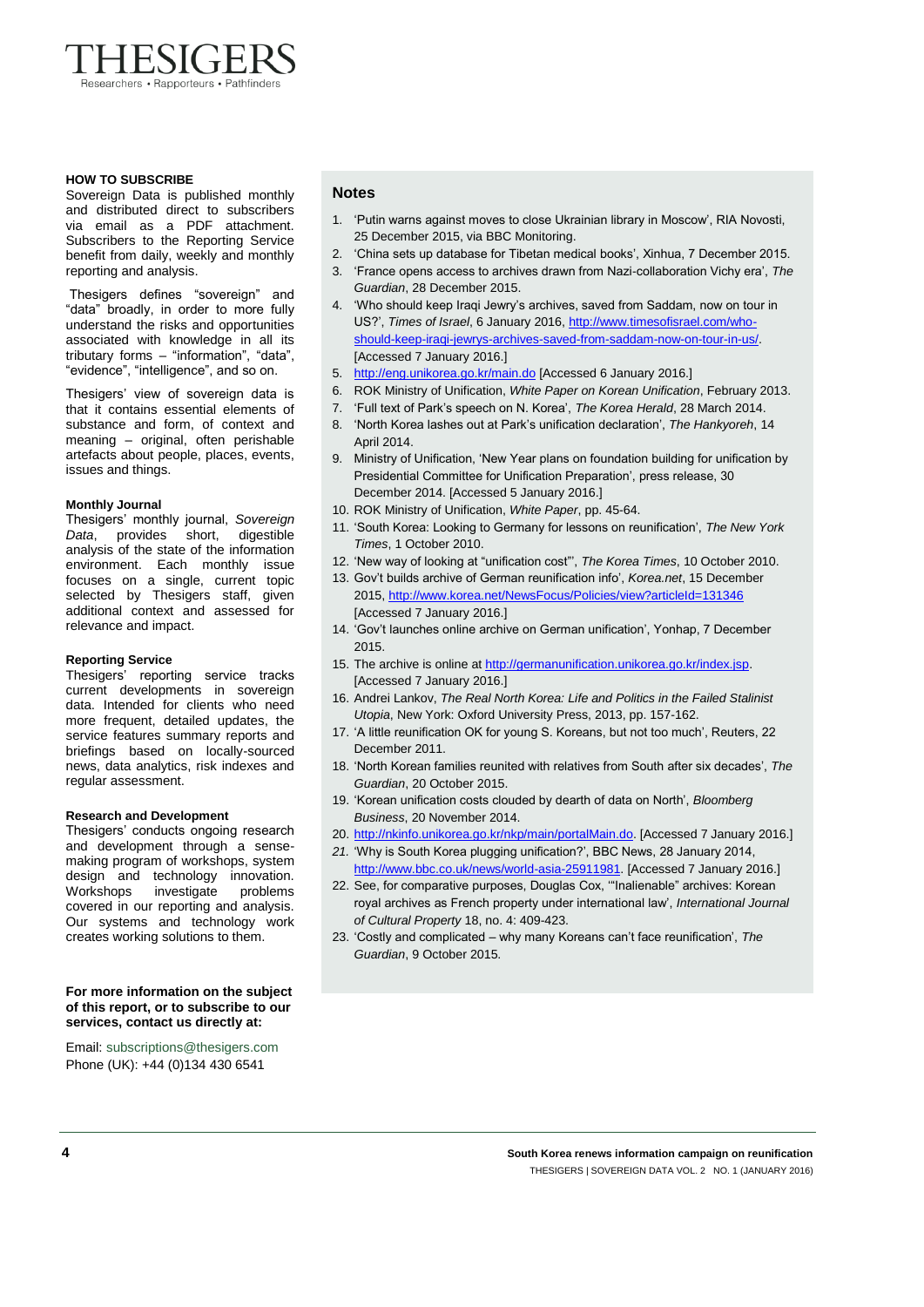

#### **HOW TO SUBSCRIBE**

Sovereign Data is published monthly and distributed direct to subscribers via email as a PDF attachment. Subscribers to the Reporting Service benefit from daily, weekly and monthly reporting and analysis.

Thesigers defines "sovereign" and "data" broadly, in order to more fully understand the risks and opportunities associated with knowledge in all its tributary forms – "information", "data", "evidence", "intelligence", and so on.

Thesigers' view of sovereign data is that it contains essential elements of substance and form, of context and meaning – original, often perishable artefacts about people, places, events, issues and things.

#### **Monthly Journal**

Thesigers' monthly journal, *Sovereign Data*, provides short, digestible analysis of the state of the information environment. Each monthly issue focuses on a single, current topic selected by Thesigers staff, given additional context and assessed for relevance and impact.

#### **Reporting Service**

Thesigers' reporting service tracks current developments in sovereign data. Intended for clients who need more frequent, detailed updates, the service features summary reports and briefings based on locally-sourced news, data analytics, risk indexes and regular assessment.

#### **Research and Development**

Thesigers' conducts ongoing research and development through a sensemaking program of workshops, system design and technology innovation. Workshops investigate problems covered in our reporting and analysis. Our systems and technology work creates working solutions to them.

#### **For more information on the subject of this report, or to subscribe to our services, contact us directly at:**

Email[: subscriptions@thesigers.com](mailto:subscriptions@thesigers.com) Phone (UK): +44 (0)134 430 6541

### **Notes**

- 1. 'Putin warns against moves to close Ukrainian library in Moscow', RIA Novosti, 25 December 2015, via BBC Monitoring.
- 2. 'China sets up database for Tibetan medical books', Xinhua, 7 December 2015.
- 3. 'France opens access to archives drawn from Nazi-collaboration Vichy era', *The Guardian*, 28 December 2015.
- 4. 'Who should keep Iraqi Jewry's archives, saved from Saddam, now on tour in US?', *Times of Israel*, 6 January 2016[, http://www.timesofisrael.com/who](http://www.timesofisrael.com/who-should-keep-iraqi-jewrys-archives-saved-from-saddam-now-on-tour-in-us/)[should-keep-iraqi-jewrys-archives-saved-from-saddam-now-on-tour-in-us/.](http://www.timesofisrael.com/who-should-keep-iraqi-jewrys-archives-saved-from-saddam-now-on-tour-in-us/) [Accessed 7 January 2016.]
- 5. <http://eng.unikorea.go.kr/main.do> [Accessed 6 January 2016.]
- 6. ROK Ministry of Unification, *White Paper on Korean Unification*, February 2013.
- 7. 'Full text of Park's speech on N. Korea', *The Korea Herald*, 28 March 2014. 8. 'North Korea lashes out at Park's unification declaration', *The Hankyoreh*, 14
- April  $2014$ 9. Ministry of Unification, 'New Year plans on foundation building for unification by
- Presidential Committee for Unification Preparation', press release, 30 December 2014. [Accessed 5 January 2016.]
- 10. ROK Ministry of Unification, *White Paper*, pp. 45-64.
	- 11. 'South Korea: Looking to Germany for lessons on reunification', *The New York Times*, 1 October 2010.
- 12. 'New way of looking at "unification cost"', *The Korea Times*, 10 October 2010.
- 13. Gov't builds archive of German reunification info', *Korea.net*, 15 December 2015[, http://www.korea.net/NewsFocus/Policies/view?articleId=131346](http://www.korea.net/NewsFocus/Policies/view?articleId=131346) [Accessed 7 January 2016.]
- 14. 'Gov't launches online archive on German unification', Yonhap, 7 December 2015.
- 15. The archive is online a[t http://germanunification.unikorea.go.kr/index.jsp.](http://germanunification.unikorea.go.kr/index.jsp) [Accessed 7 January 2016.]
- 16. Andrei Lankov, *The Real North Korea: Life and Politics in the Failed Stalinist Utopia*, New York: Oxford University Press, 2013, pp. 157-162.
- 17. 'A little reunification OK for young S. Koreans, but not too much', Reuters, 22 December 2011.
- 18. 'North Korean families reunited with relatives from South after six decades', *The Guardian*, 20 October 2015.
- 19. 'Korean unification costs clouded by dearth of data on North', *Bloomberg Business*, 20 November 2014.
- 20. [http://nkinfo.unikorea.go.kr/nkp/main/portalMain.do.](http://nkinfo.unikorea.go.kr/nkp/main/portalMain.do) [Accessed 7 January 2016.]
- *21.* 'Why is South Korea plugging unification?', BBC News, 28 January 2014, [http://www.bbc.co.uk/news/world-asia-25911981.](http://www.bbc.co.uk/news/world-asia-25911981) [Accessed 7 January 2016.]
- 22. See, for comparative purposes, Douglas Cox, '"Inalienable" archives: Korean royal archives as French property under international law', *International Journal of Cultural Property* 18, no. 4: 409-423.
- 23. 'Costly and complicated why many Koreans can't face reunification', *The Guardian*, 9 October 2015.